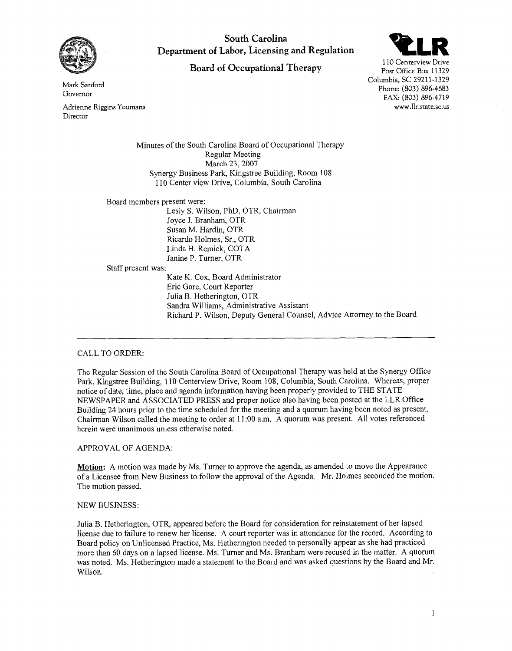

**South Carolina Department of Labor, Licensing and Regulation** 

# **Board of Occupational Therapy**



110 Centerview Drive Post Office Box 11329 Columbia, SC 29211-1329 Phone: (803) 896-4683 FAX: (803) 896-4719 www.llr.state.sc.us

Mark Sanford Governor

Adrienne Riggins Youmans Director

> Minutes of the South Carolina Board of Occupational Therapy Regular Meeting March 23,2007 Synergy Business Park, Kingstree Building, Room 108 110 Center view Drive, Columbia, South Carolina

Board members present were:

Lesly S. Wilson, PhD, OTR, Chairman Joyce J. Branham, OTR Susan M. Hardin, OTR Ricardo Holmes, Sr., OTR Linda H. Remick, COTA Janine P. Turner, OTR

Staff present was:

Kate K. Cox, Board Administrator Eric Gore, Court Reporter Julia B. Hetherington, OTR Sandra Williams, Administrative Assistant Richard P. Wilson, Deputy General Counsel, Advice Attorney to the Board

# CALL TO ORDER:

The Regular Session of the South Carolina Board of Occupational Therapy was held at the Synergy Office Park, Kingstree Building, 110 Centerview Drive, Room 108, Columbia, South Carolina. Whereas, proper notice of date, time, place and agenda information having been properly provided to THE STATE NEWSPAPER and ASSOCIATED PRESS and proper notice also having been posted at the LLR Office Building 24 hours prior to the time scheduled for the meeting and a quorum having been noted as present, Chairman Wilson called the meeting to order at 1 1 :00 a.m. A quorum was present. All votes referenced herein were unanimous unless otherwise noted.

## APPROVAL OF AGENDA:

**Motion:** A motion was made by Ms. Turner to approve the agenda, as amended to move the Appearance of a Licensee from New Business to follow the approval of the Agenda. Mr. Holmes seconded the motion. The motion passed.

## NEW BUSINESS:

Julia B. Hetherington, OTR, appeared before the Board for consideration for reinstatement of her lapsed license due to failure to renew her license. A court reporter was in attendance for the record. According to Board policy on Unlicensed Practice, Ms. Hetherington needed to personally appear as she had practiced more than 60 days on a lapsed license. Ms. Turner and Ms. Branham were recused in the matter. A quorum was noted. Ms. Hetherington made a statement to the Board and was asked questions by the Board and Mr. Wilson.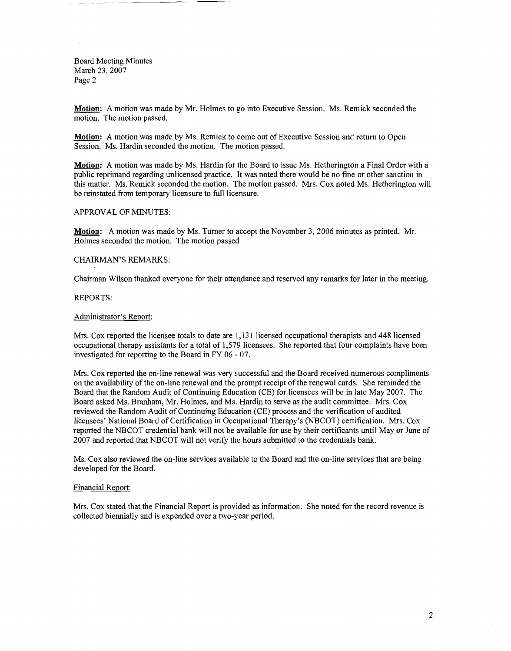Board Meeting Minutes March 23, 2007 Page 2

**Motion:** A motion was made by Mr. Holmes to go into Executive Session. Ms. Remick seconded the motion. The motion passed.

**Motion:** A motion was made by Ms. Remick to come out of Executive Session and return to Open Session. Ms. Hardin seconded the motion. The motion passed.

**Motion:** A motion was made by Ms. Hardin for the Board to issue Ms. Hetherington a Final Order with a public reprimand regarding unlicensed practice. It was noted there would be no fine or other sanction in this matter. Ms. Remick seconded the motion. The motion passed. Mrs. Cox noted Ms. Hetherington will be reinstated from temporary licensure to full licensure.

# APPROVAL OF MINUTES:

**Motion:** A motion was made by Ms. Turner to accept the November 3,2006 minutes as printed. Mr. Holmes seconded the motion. The motion passed

# CHAIRMAN'S REMARKS:

Chairman Wilson thanked everyone for their attendance and reserved any remarks for later in the meeting.

#### REPORTS:

#### Administrator's Report:

Mrs. Cox reported the licensee totals to date are 1,13 1 licensed occupational therapists and 448 licensed occupational therapy assistants for a total of 1,579 licensees. She reported that four complaints have been investigated for reporting to the Board in FY 06 - 07.

Mrs. Cox reported the on-line renewal was very successful and the Board received numerous compliments on the availability of the on-line renewal and the prompt receipt of the renewal cards. She reminded the Board that the Random Audit of Continuing Education (CE) for licensees will be in late May 2007. The Board asked Ms. Branham, Mr. Holmes, and Ms. Hardin to serve as the audit committee. Mrs. Cox reviewed the Random Audit of Continuing Education (CE) process and the verification of audited licensees' National Board of Certification in Occupational Therapy's (NBCOT) certification. Mrs. Cox reported the NBCOT credential bank will not be available for use by their certificants until May or June of 2007 and reported that NBCOT will not verify the hours submitted to the credentials bank.

Ms. Cox also reviewed the on-line services available to the Board and the on-line services that are being developed for the Board.

## Financial Report:

Mrs. Cox stated that the Financial Report is provided as information. She noted for the record revenue is collected biennially and is expended over a two-year period.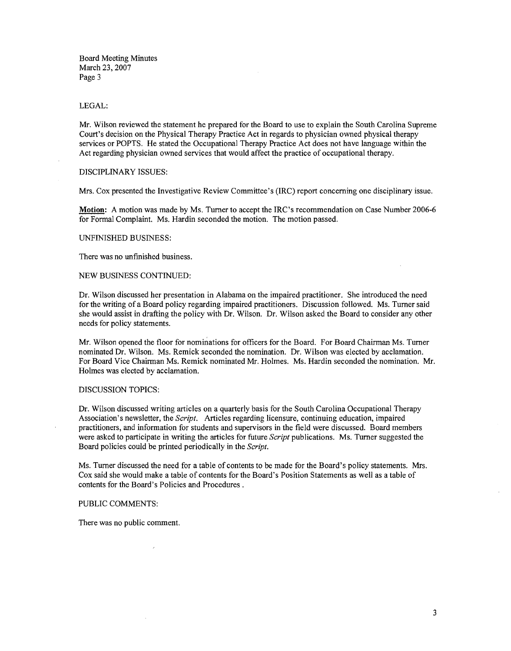Board Meeting Minutes March 23,2007 Page 3

## LEGAL:

Mr. Wilson reviewed the statement he prepared for the Board to use to explain the South Carolina Supreme Court's decision on the Physical Therapy Practice Act in regards to physician owned physical therapy services or POPTS. He stated the Occupational Therapy Practice Act does not have language within the Act regarding physician owned services that would affect the practice of occupational therapy.

## DISCIPLINARY ISSUES:

Mrs. Cox presented the Investigative Review Committee's (IRC) report concerning one disciplinary issue.

**Motion:** A motion was made by Ms. Turner to accept the IRC's recommendation on Case Number 2006-6 for Formal Complaint. Ms. Hardin seconded the motion. The motion passed.

## UNFINISHED BUSINESS:

There was no unfinished business.

#### NEW BUSINESS CONTINUED:

Dr. Wilson discussed her presentation in Alabama on the impaired practitioner. She introduced the need for the writing of a Board policy regarding impaired practitioners. Discussion followed. Ms. Turner said she would assist in drafting the policy with Dr. Wilson. Dr. Wilson asked the Board to consider any other needs for policy statements.

Mr. Wilson opened the floor for nominations for officers for the Board. For Board Chairman Ms. Turner nominated Dr. Wilson. Ms. Remick seconded the nomination. Dr. Wilson was elected by acclamation. For Board Vice Chairman Ms. Remick nominated Mr. Holmes. Ms. Hardin seconded the nomination. Mr. Holmes was elected by acclamation.

#### DISCUSSION TOPICS:

Dr. Wilson discussed writing articles on a quarterly basis for the South Carolina Occupational Therapy Association's newsletter, the *Script.* Articles regarding licensure, continuing education, impaired practitioners, and information for students and supervisors in the field were discussed. Board members were asked to participate in writing the articles for future *Script* publications. Ms. Turner suggested the Board policies could be printed periodically in the *Script.* 

Ms. Turner discussed the need for a table of contents to be made for the Board's policy statements. Mrs. Cox said she would make a table of contents for the Board's Position Statements as well as a table of contents for the Board's Policies and Procedures .

#### PUBLIC COMMENTS:

There was no public comment.